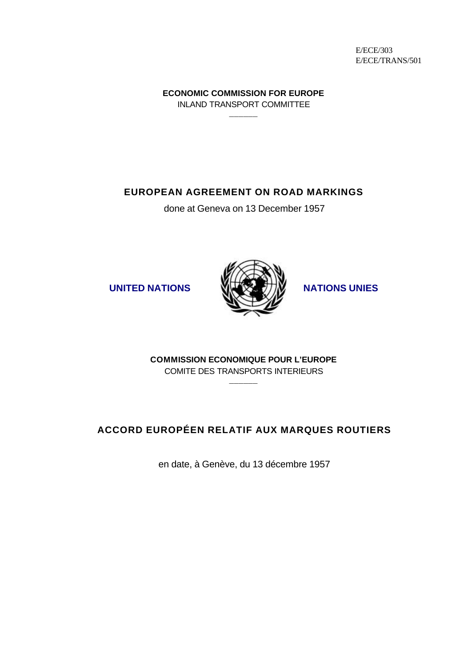E/ECE/303 E/ECE/TRANS/501

**ECONOMIC COMMISSION FOR EUROPE** INLAND TRANSPORT COMMITTEE \_\_\_\_\_\_

**EUROPEAN AGREEMENT ON ROAD MARKINGS**

done at Geneva on 13 December 1957





**COMMISSION ECONOMIQUE POUR L'EUROPE** COMITE DES TRANSPORTS INTERIEURS \_\_\_\_\_\_

# **ACCORD EUROPÉEN RELATIF AUX MARQUES ROUTIERS**

en date, à Genève, du 13 décembre 1957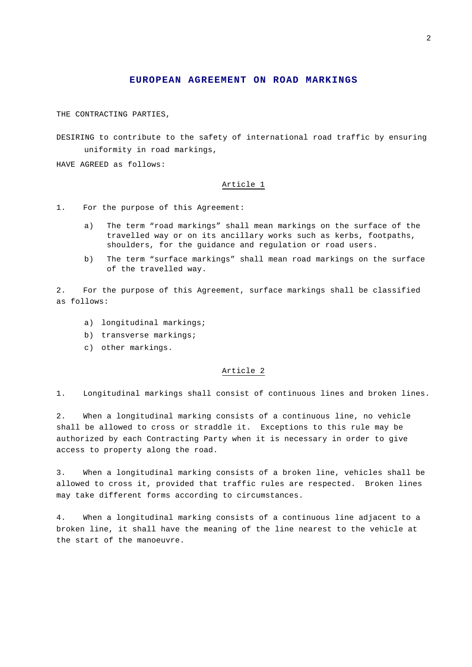## **EUROPEAN AGREEMENT ON ROAD MARKINGS**

THE CONTRACTING PARTIES,

DESIRING to contribute to the safety of international road traffic by ensuring uniformity in road markings,

HAVE AGREED as follows:

## Article 1

- 1. For the purpose of this Agreement:
	- a) The term "road markings" shall mean markings on the surface of the travelled way or on its ancillary works such as kerbs, footpaths, shoulders, for the guidance and regulation or road users.
	- b) The term "surface markings" shall mean road markings on the surface of the travelled way.

2. For the purpose of this Agreement, surface markings shall be classified as follows:

- a) longitudinal markings;
- b) transverse markings;
- c) other markings.

## Article 2

1. Longitudinal markings shall consist of continuous lines and broken lines.

2. When a longitudinal marking consists of a continuous line, no vehicle shall be allowed to cross or straddle it. Exceptions to this rule may be authorized by each Contracting Party when it is necessary in order to give access to property along the road.

3. When a longitudinal marking consists of a broken line, vehicles shall be allowed to cross it, provided that traffic rules are respected. Broken lines may take different forms according to circumstances.

4. When a longitudinal marking consists of a continuous line adjacent to a broken line, it shall have the meaning of the line nearest to the vehicle at the start of the manoeuvre.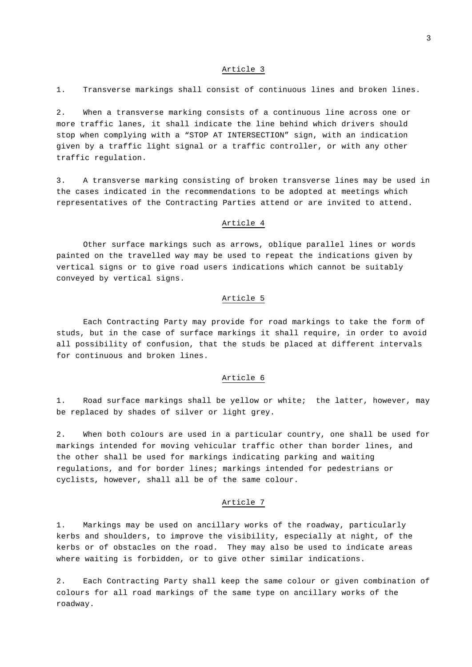2. When a transverse marking consists of a continuous line across one or more traffic lanes, it shall indicate the line behind which drivers should stop when complying with a "STOP AT INTERSECTION" sign, with an indication given by a traffic light signal or a traffic controller, or with any other traffic regulation.

3. A transverse marking consisting of broken transverse lines may be used in the cases indicated in the recommendations to be adopted at meetings which representatives of the Contracting Parties attend or are invited to attend.

#### Article 4

Other surface markings such as arrows, oblique parallel lines or words painted on the travelled way may be used to repeat the indications given by vertical signs or to give road users indications which cannot be suitably conveyed by vertical signs.

## Article 5

Each Contracting Party may provide for road markings to take the form of studs, but in the case of surface markings it shall require, in order to avoid all possibility of confusion, that the studs be placed at different intervals for continuous and broken lines.

## Article 6

1. Road surface markings shall be yellow or white; the latter, however, may be replaced by shades of silver or light grey.

2. When both colours are used in a particular country, one shall be used for markings intended for moving vehicular traffic other than border lines, and the other shall be used for markings indicating parking and waiting regulations, and for border lines; markings intended for pedestrians or cyclists, however, shall all be of the same colour.

## Article 7

1. Markings may be used on ancillary works of the roadway, particularly kerbs and shoulders, to improve the visibility, especially at night, of the kerbs or of obstacles on the road. They may also be used to indicate areas where waiting is forbidden, or to give other similar indications.

2. Each Contracting Party shall keep the same colour or given combination of colours for all road markings of the same type on ancillary works of the roadway.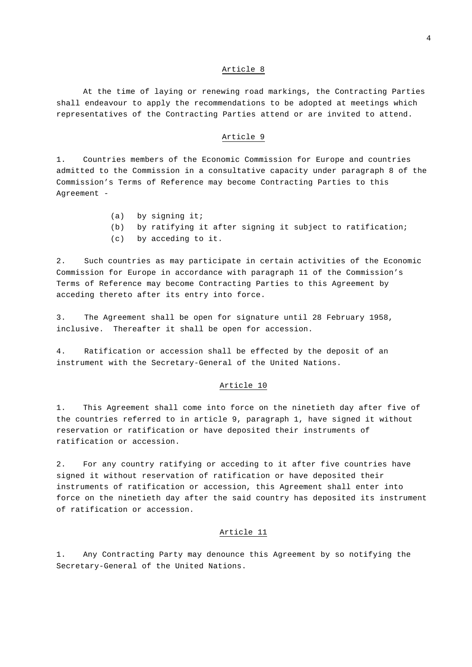At the time of laying or renewing road markings, the Contracting Parties shall endeavour to apply the recommendations to be adopted at meetings which representatives of the Contracting Parties attend or are invited to attend.

#### Article 9

1. Countries members of the Economic Commission for Europe and countries admitted to the Commission in a consultative capacity under paragraph 8 of the Commission's Terms of Reference may become Contracting Parties to this Agreement -

- (a) by signing it;
- (b) by ratifying it after signing it subject to ratification;
- (c) by acceding to it.

2. Such countries as may participate in certain activities of the Economic Commission for Europe in accordance with paragraph 11 of the Commission's Terms of Reference may become Contracting Parties to this Agreement by acceding thereto after its entry into force.

3. The Agreement shall be open for signature until 28 February 1958, inclusive. Thereafter it shall be open for accession.

4. Ratification or accession shall be effected by the deposit of an instrument with the Secretary-General of the United Nations.

## Article 10

1. This Agreement shall come into force on the ninetieth day after five of the countries referred to in article 9, paragraph 1, have signed it without reservation or ratification or have deposited their instruments of ratification or accession.

2. For any country ratifying or acceding to it after five countries have signed it without reservation of ratification or have deposited their instruments of ratification or accession, this Agreement shall enter into force on the ninetieth day after the said country has deposited its instrument of ratification or accession.

# Article 11

1. Any Contracting Party may denounce this Agreement by so notifying the Secretary-General of the United Nations.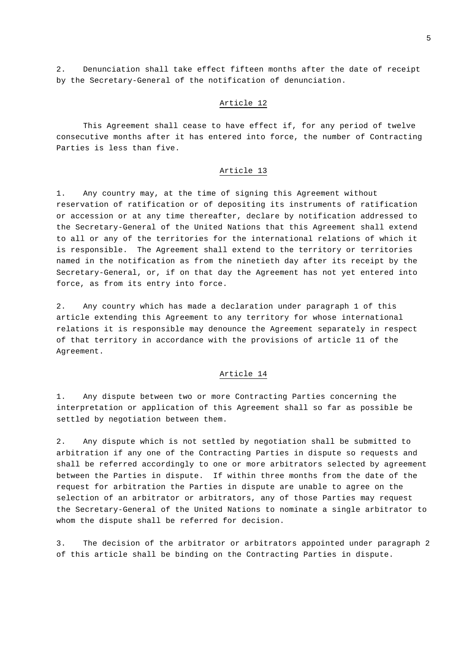2. Denunciation shall take effect fifteen months after the date of receipt by the Secretary-General of the notification of denunciation.

## Article 12

This Agreement shall cease to have effect if, for any period of twelve consecutive months after it has entered into force, the number of Contracting Parties is less than five.

## Article 13

1. Any country may, at the time of signing this Agreement without reservation of ratification or of depositing its instruments of ratification or accession or at any time thereafter, declare by notification addressed to the Secretary-General of the United Nations that this Agreement shall extend to all or any of the territories for the international relations of which it is responsible. The Agreement shall extend to the territory or territories named in the notification as from the ninetieth day after its receipt by the Secretary-General, or, if on that day the Agreement has not yet entered into force, as from its entry into force.

2. Any country which has made a declaration under paragraph 1 of this article extending this Agreement to any territory for whose international relations it is responsible may denounce the Agreement separately in respect of that territory in accordance with the provisions of article 11 of the Agreement.

## Article 14

1. Any dispute between two or more Contracting Parties concerning the interpretation or application of this Agreement shall so far as possible be settled by negotiation between them.

2. Any dispute which is not settled by negotiation shall be submitted to arbitration if any one of the Contracting Parties in dispute so requests and shall be referred accordingly to one or more arbitrators selected by agreement between the Parties in dispute. If within three months from the date of the request for arbitration the Parties in dispute are unable to agree on the selection of an arbitrator or arbitrators, any of those Parties may request the Secretary-General of the United Nations to nominate a single arbitrator to whom the dispute shall be referred for decision.

3. The decision of the arbitrator or arbitrators appointed under paragraph 2 of this article shall be binding on the Contracting Parties in dispute.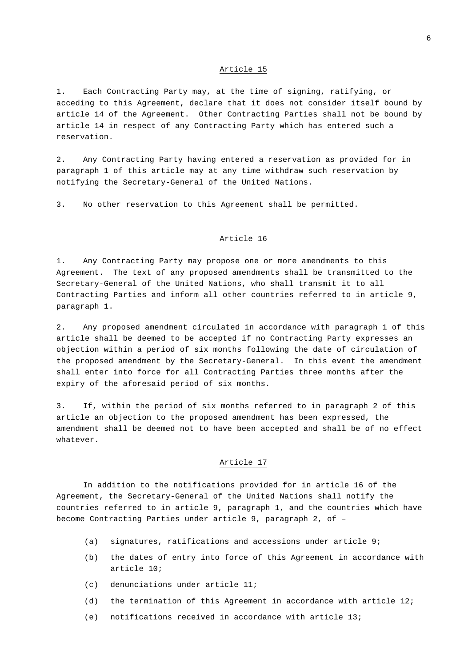1. Each Contracting Party may, at the time of signing, ratifying, or acceding to this Agreement, declare that it does not consider itself bound by article 14 of the Agreement. Other Contracting Parties shall not be bound by article 14 in respect of any Contracting Party which has entered such a reservation.

2. Any Contracting Party having entered a reservation as provided for in paragraph 1 of this article may at any time withdraw such reservation by notifying the Secretary-General of the United Nations.

3. No other reservation to this Agreement shall be permitted.

## Article 16

1. Any Contracting Party may propose one or more amendments to this Agreement. The text of any proposed amendments shall be transmitted to the Secretary-General of the United Nations, who shall transmit it to all Contracting Parties and inform all other countries referred to in article 9, paragraph 1.

2. Any proposed amendment circulated in accordance with paragraph 1 of this article shall be deemed to be accepted if no Contracting Party expresses an objection within a period of six months following the date of circulation of the proposed amendment by the Secretary-General. In this event the amendment shall enter into force for all Contracting Parties three months after the expiry of the aforesaid period of six months.

3. If, within the period of six months referred to in paragraph 2 of this article an objection to the proposed amendment has been expressed, the amendment shall be deemed not to have been accepted and shall be of no effect whatever.

# Article 17

In addition to the notifications provided for in article 16 of the Agreement, the Secretary-General of the United Nations shall notify the countries referred to in article 9, paragraph 1, and the countries which have become Contracting Parties under article 9, paragraph 2, of –

- (a) signatures, ratifications and accessions under article 9;
- (b) the dates of entry into force of this Agreement in accordance with article 10;
- (c) denunciations under article 11;
- (d) the termination of this Agreement in accordance with article 12;
- (e) notifications received in accordance with article 13;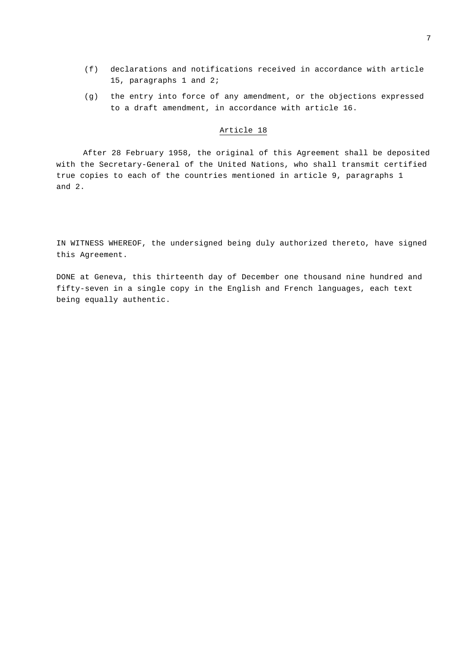- (f) declarations and notifications received in accordance with article 15, paragraphs 1 and 2;
- (g) the entry into force of any amendment, or the objections expressed to a draft amendment, in accordance with article 16.

After 28 February 1958, the original of this Agreement shall be deposited with the Secretary-General of the United Nations, who shall transmit certified true copies to each of the countries mentioned in article 9, paragraphs 1 and 2.

IN WITNESS WHEREOF, the undersigned being duly authorized thereto, have signed this Agreement.

DONE at Geneva, this thirteenth day of December one thousand nine hundred and fifty-seven in a single copy in the English and French languages, each text being equally authentic.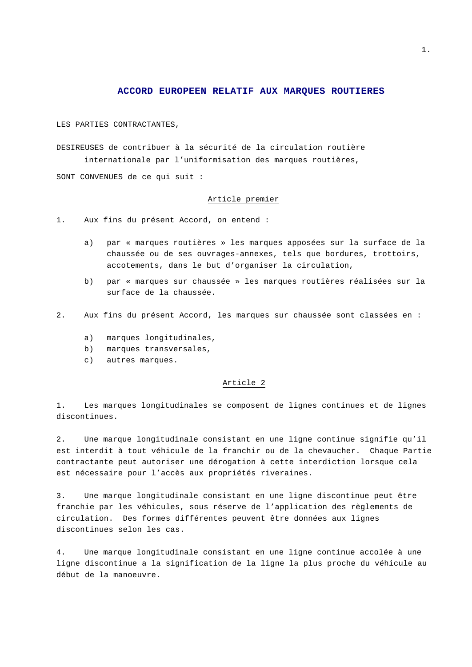## **ACCORD EUROPEEN RELATIF AUX MARQUES ROUTIERES**

LES PARTIES CONTRACTANTES,

DESIREUSES de contribuer à la sécurité de la circulation routière internationale par l'uniformisation des marques routières,

SONT CONVENUES de ce qui suit :

#### Article premier

1. Aux fins du présent Accord, on entend :

- a) par « marques routières » les marques apposées sur la surface de la chaussée ou de ses ouvrages-annexes, tels que bordures, trottoirs, accotements, dans le but d'organiser la circulation,
- b) par « marques sur chaussée » les marques routières réalisées sur la surface de la chaussée.
- 2. Aux fins du présent Accord, les marques sur chaussée sont classées en :
	- a) marques longitudinales,
	- b) marques transversales,
	- c) autres marques.

#### Article 2

1. Les marques longitudinales se composent de lignes continues et de lignes discontinues.

2. Une marque longitudinale consistant en une ligne continue signifie qu'il est interdit à tout véhicule de la franchir ou de la chevaucher. Chaque Partie contractante peut autoriser une dérogation à cette interdiction lorsque cela est nécessaire pour l'accès aux propriétés riveraines.

3. Une marque longitudinale consistant en une ligne discontinue peut être franchie par les véhicules, sous réserve de l'application des règlements de circulation. Des formes différentes peuvent être données aux lignes discontinues selon les cas.

4. Une marque longitudinale consistant en une ligne continue accolée à une ligne discontinue a la signification de la ligne la plus proche du véhicule au début de la manoeuvre.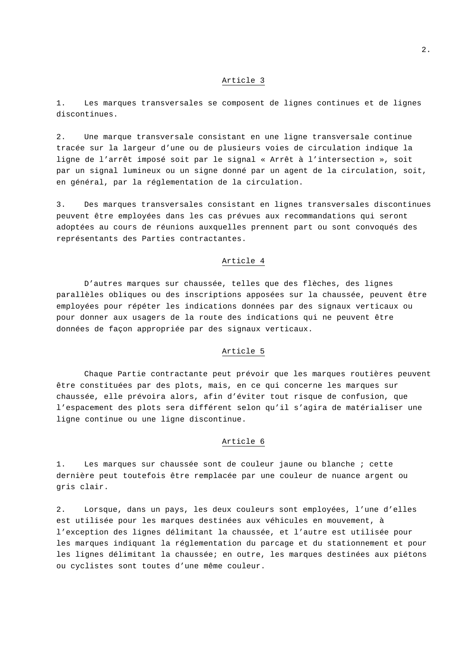1. Les marques transversales se composent de lignes continues et de lignes discontinues.

2. Une marque transversale consistant en une ligne transversale continue tracée sur la largeur d'une ou de plusieurs voies de circulation indique la ligne de l'arrêt imposé soit par le signal « Arrêt à l'intersection », soit par un signal lumineux ou un signe donné par un agent de la circulation, soit, en général, par la réglementation de la circulation.

3. Des marques transversales consistant en lignes transversales discontinues peuvent être employées dans les cas prévues aux recommandations qui seront adoptées au cours de réunions auxquelles prennent part ou sont convoqués des représentants des Parties contractantes.

## Article 4

D'autres marques sur chaussée, telles que des flèches, des lignes parallèles obliques ou des inscriptions apposées sur la chaussée, peuvent être employées pour répéter les indications données par des signaux verticaux ou pour donner aux usagers de la route des indications qui ne peuvent être données de façon appropriée par des signaux verticaux.

## Article 5

Chaque Partie contractante peut prévoir que les marques routières peuvent être constituées par des plots, mais, en ce qui concerne les marques sur chaussée, elle prévoira alors, afin d'éviter tout risque de confusion, que l'espacement des plots sera différent selon qu'il s'agira de matérialiser une ligne continue ou une ligne discontinue.

## Article 6

1. Les marques sur chaussée sont de couleur jaune ou blanche ; cette dernière peut toutefois être remplacée par une couleur de nuance argent ou gris clair.

2. Lorsque, dans un pays, les deux couleurs sont employées, l'une d'elles est utilisée pour les marques destinées aux véhicules en mouvement, à l'exception des lignes délimitant la chaussée, et l'autre est utilisée pour les marques indiquant la réglementation du parcage et du stationnement et pour les lignes délimitant la chaussée; en outre, les marques destinées aux piétons ou cyclistes sont toutes d'une même couleur.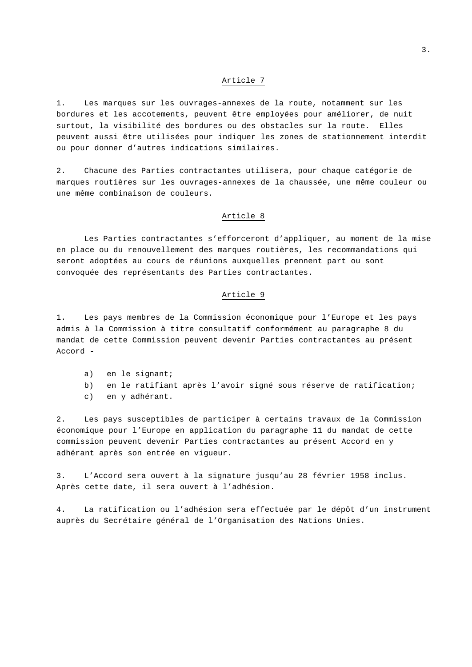1. Les marques sur les ouvrages-annexes de la route, notamment sur les bordures et les accotements, peuvent être employées pour améliorer, de nuit surtout, la visibilité des bordures ou des obstacles sur la route. Elles peuvent aussi être utilisées pour indiquer les zones de stationnement interdit ou pour donner d'autres indications similaires.

2. Chacune des Parties contractantes utilisera, pour chaque catégorie de marques routières sur les ouvrages-annexes de la chaussée, une même couleur ou une même combinaison de couleurs.

## Article 8

Les Parties contractantes s'efforceront d'appliquer, au moment de la mise en place ou du renouvellement des marques routières, les recommandations qui seront adoptées au cours de réunions auxquelles prennent part ou sont convoquée des représentants des Parties contractantes.

#### Article 9

1. Les pays membres de la Commission économique pour l'Europe et les pays admis à la Commission à titre consultatif conformément au paragraphe 8 du mandat de cette Commission peuvent devenir Parties contractantes au présent Accord -

- a) en le signant;
- b) en le ratifiant après l'avoir signé sous réserve de ratification;
- c) en y adhérant.

2. Les pays susceptibles de participer à certains travaux de la Commission économique pour l'Europe en application du paragraphe 11 du mandat de cette commission peuvent devenir Parties contractantes au présent Accord en y adhérant après son entrée en vigueur.

3. L'Accord sera ouvert à la signature jusqu'au 28 février 1958 inclus. Après cette date, il sera ouvert à l'adhésion.

4. La ratification ou l'adhésion sera effectuée par le dépôt d'un instrument auprès du Secrétaire général de l'Organisation des Nations Unies.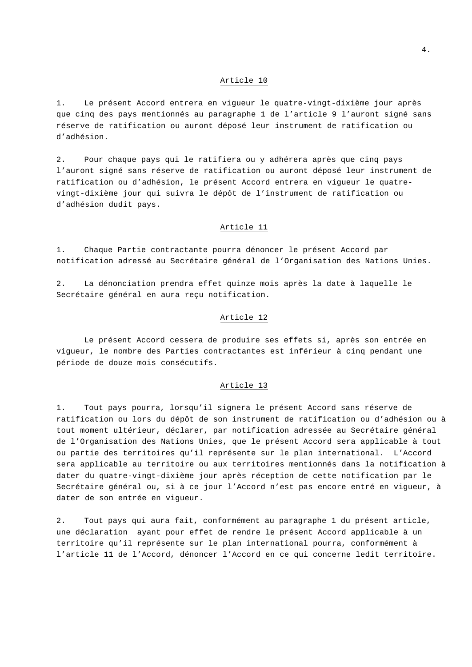1. Le présent Accord entrera en vigueur le quatre-vingt-dixième jour après que cinq des pays mentionnés au paragraphe 1 de l'article 9 l'auront signé sans réserve de ratification ou auront déposé leur instrument de ratification ou d'adhésion.

2. Pour chaque pays qui le ratifiera ou y adhérera après que cinq pays l'auront signé sans réserve de ratification ou auront déposé leur instrument de ratification ou d'adhésion, le présent Accord entrera en vigueur le quatrevingt-dixième jour qui suivra le dépôt de l'instrument de ratification ou d'adhésion dudit pays.

## Article 11

1. Chaque Partie contractante pourra dénoncer le présent Accord par notification adressé au Secrétaire général de l'Organisation des Nations Unies.

2. La dénonciation prendra effet quinze mois après la date à laquelle le Secrétaire général en aura reçu notification.

## Article 12

Le présent Accord cessera de produire ses effets si, après son entrée en vigueur, le nombre des Parties contractantes est inférieur à cinq pendant une période de douze mois consécutifs.

## Article 13

1. Tout pays pourra, lorsqu'il signera le présent Accord sans réserve de ratification ou lors du dépôt de son instrument de ratification ou d'adhésion ou à tout moment ultérieur, déclarer, par notification adressée au Secrétaire général de l'Organisation des Nations Unies, que le présent Accord sera applicable à tout ou partie des territoires qu'il représente sur le plan international. L'Accord sera applicable au territoire ou aux territoires mentionnés dans la notification à dater du quatre-vingt-dixième jour après réception de cette notification par le Secrétaire général ou, si à ce jour l'Accord n'est pas encore entré en vigueur, à dater de son entrée en vigueur.

2. Tout pays qui aura fait, conformément au paragraphe 1 du présent article, une déclaration ayant pour effet de rendre le présent Accord applicable à un territoire qu'il représente sur le plan international pourra, conformément à l'article 11 de l'Accord, dénoncer l'Accord en ce qui concerne ledit territoire.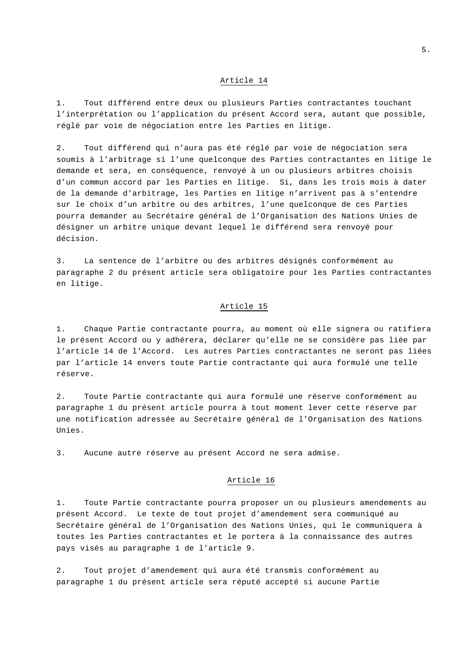1. Tout différend entre deux ou plusieurs Parties contractantes touchant l'interprétation ou l'application du présent Accord sera, autant que possible, réglé par voie de négociation entre les Parties en litige.

2. Tout différend qui n'aura pas été réglé par voie de négociation sera soumis à l'arbitrage si l'une quelconque des Parties contractantes en litige le demande et sera, en conséquence, renvoyé à un ou plusieurs arbitres choisis d'un commun accord par les Parties en litige. Si, dans les trois mois à dater de la demande d'arbitrage, les Parties en litige n'arrivent pas à s'entendre sur le choix d'un arbitre ou des arbitres, l'une quelconque de ces Parties pourra demander au Secrétaire général de l'Organisation des Nations Unies de désigner un arbitre unique devant lequel le différend sera renvoyé pour décision.

3. La sentence de l'arbitre ou des arbitres désignés conformément au paragraphe 2 du présent article sera obligatoire pour les Parties contractantes en litige.

## Article 15

1. Chaque Partie contractante pourra, au moment où elle signera ou ratifiera le présent Accord ou y adhérera, déclarer qu'elle ne se considère pas liée par l'article 14 de l'Accord. Les autres Parties contractantes ne seront pas liées par l'article 14 envers toute Partie contractante qui aura formulé une telle réserve.

2. Toute Partie contractante qui aura formulé une réserve conformément au paragraphe 1 du présent article pourra à tout moment lever cette réserve par une notification adressée au Secrétaire général de l'Organisation des Nations Unies.

3. Aucune autre réserve au présent Accord ne sera admise.

## Article 16

1. Toute Partie contractante pourra proposer un ou plusieurs amendements au présent Accord. Le texte de tout projet d'amendement sera communiqué au Secrétaire général de l'Organisation des Nations Unies, qui le communiquera à toutes les Parties contractantes et le portera à la connaissance des autres pays visés au paragraphe 1 de l'article 9.

2. Tout projet d'amendement qui aura été transmis conformément au paragraphe 1 du présent article sera réputé accepté si aucune Partie